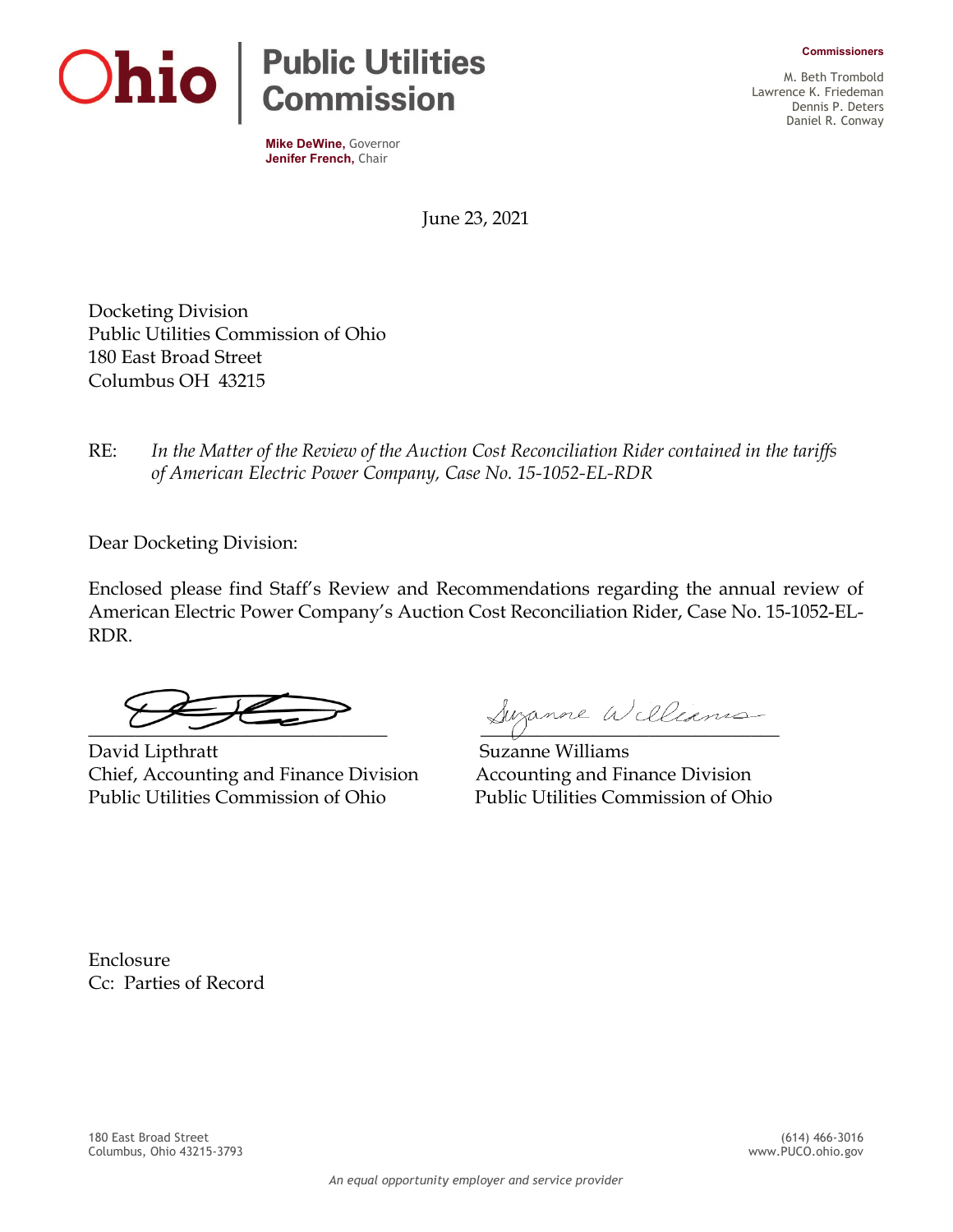**Commissioners**



**Mike DeWine,** Governor **Jenifer French,** Chair

M. Beth Trombold Lawrence K. Friedeman Dennis P. Deters Daniel R. Conway

June 23, 2021

Docketing Division Public Utilities Commission of Ohio 180 East Broad Street Columbus OH 43215

RE: *In the Matter of the Review of the Auction Cost Reconciliation Rider contained in the tariffs of American Electric Power Company, Case No. 15-1052-EL-RDR* 

Dear Docketing Division:

Enclosed please find Staff's Review and Recommendations regarding the annual review of American Electric Power Company's Auction Cost Reconciliation Rider, Case No. 15-1052-EL-RDR.

David Lipthratt Suzanne Williams Chief, Accounting and Finance Division Accounting and Finance Division Public Utilities Commission of Ohio Public Utilities Commission of Ohio

Suzanne Williams

Enclosure Cc: Parties of Record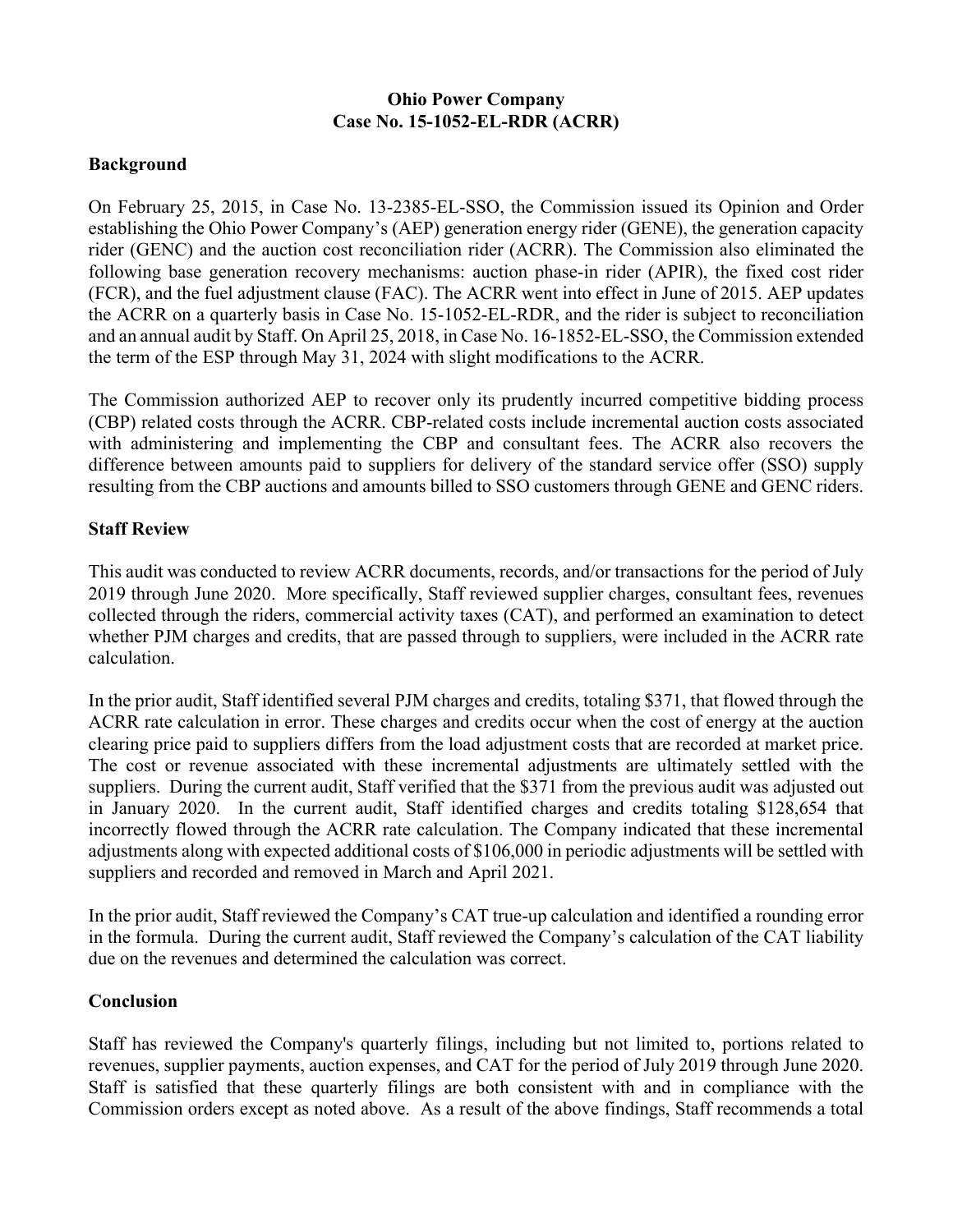## **Ohio Power Company Case No. 15-1052-EL-RDR (ACRR)**

## **Background**

On February 25, 2015, in Case No. 13-2385-EL-SSO, the Commission issued its Opinion and Order establishing the Ohio Power Company's (AEP) generation energy rider (GENE), the generation capacity rider (GENC) and the auction cost reconciliation rider (ACRR). The Commission also eliminated the following base generation recovery mechanisms: auction phase-in rider (APIR), the fixed cost rider (FCR), and the fuel adjustment clause (FAC). The ACRR went into effect in June of 2015. AEP updates the ACRR on a quarterly basis in Case No. 15-1052-EL-RDR, and the rider is subject to reconciliation and an annual audit by Staff. On April 25, 2018, in Case No. 16-1852-EL-SSO, the Commission extended the term of the ESP through May 31, 2024 with slight modifications to the ACRR.

The Commission authorized AEP to recover only its prudently incurred competitive bidding process (CBP) related costs through the ACRR. CBP-related costs include incremental auction costs associated with administering and implementing the CBP and consultant fees. The ACRR also recovers the difference between amounts paid to suppliers for delivery of the standard service offer (SSO) supply resulting from the CBP auctions and amounts billed to SSO customers through GENE and GENC riders.

## **Staff Review**

This audit was conducted to review ACRR documents, records, and/or transactions for the period of July 2019 through June 2020. More specifically, Staff reviewed supplier charges, consultant fees, revenues collected through the riders, commercial activity taxes (CAT), and performed an examination to detect whether PJM charges and credits, that are passed through to suppliers, were included in the ACRR rate calculation.

In the prior audit, Staff identified several PJM charges and credits, totaling \$371, that flowed through the ACRR rate calculation in error. These charges and credits occur when the cost of energy at the auction clearing price paid to suppliers differs from the load adjustment costs that are recorded at market price. The cost or revenue associated with these incremental adjustments are ultimately settled with the suppliers. During the current audit, Staff verified that the \$371 from the previous audit was adjusted out in January 2020. In the current audit, Staff identified charges and credits totaling \$128,654 that incorrectly flowed through the ACRR rate calculation. The Company indicated that these incremental adjustments along with expected additional costs of \$106,000 in periodic adjustments will be settled with suppliers and recorded and removed in March and April 2021.

In the prior audit, Staff reviewed the Company's CAT true-up calculation and identified a rounding error in the formula. During the current audit, Staff reviewed the Company's calculation of the CAT liability due on the revenues and determined the calculation was correct.

## **Conclusion**

Staff has reviewed the Company's quarterly filings, including but not limited to, portions related to revenues, supplier payments, auction expenses, and CAT for the period of July 2019 through June 2020. Staff is satisfied that these quarterly filings are both consistent with and in compliance with the Commission orders except as noted above. As a result of the above findings, Staff recommends a total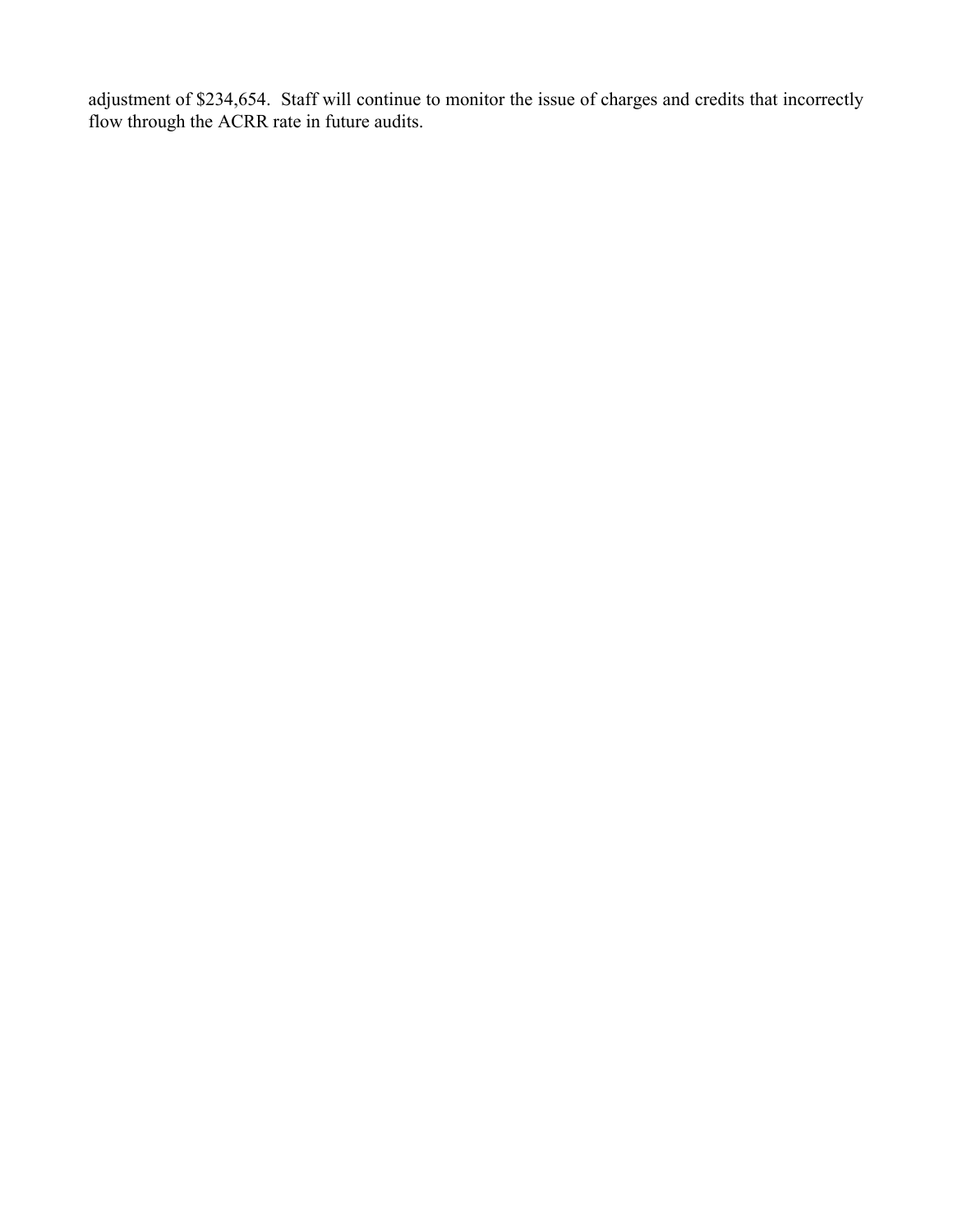adjustment of \$234,654. Staff will continue to monitor the issue of charges and credits that incorrectly flow through the ACRR rate in future audits.